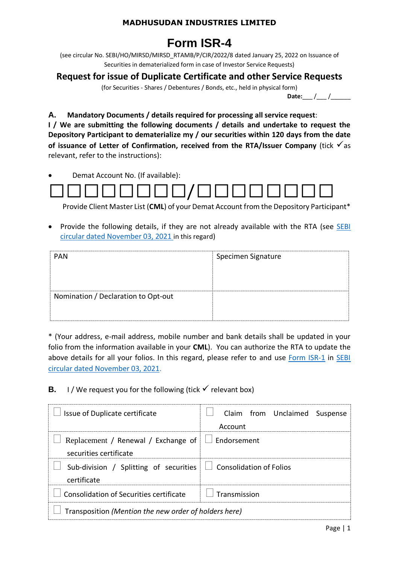## **MADHUSUDAN INDUSTRIES LIMITED**

# **Form ISR-4**

(see circular No. SEBI/HO/MIRSD/MIRSD\_RTAMB/P/CIR/2022/8 dated January 25, 2022 on Issuance of Securities in dematerialized form in case of Investor Service Requests)

# **Request for issue of Duplicate Certificate and other Service Requests**

(for Securities - Shares / Debentures / Bonds, etc., held in physical form)

Date:\_\_\_ /\_\_\_ /\_\_\_\_\_\_\_\_

**A. Mandatory Documents / details required for processing all service request**:

**I / We are submitting the following documents / details and undertake to request the Depository Participant to dematerialize my / our securities within 120 days from the date of issuance of Letter of Confirmation, received from the RTA/Issuer Company** (tick √as relevant, refer to the instructions):

• Demat Account No. (If available):



Provide Client Master List (**CML**) of your Demat Account from the Depository Participant\*

• Provide the following details, if they are not already available with the RTA (see SEBI [circular dated November 03, 2021](https://www.sebi.gov.in/legal/circulars/nov-2021/common-and-simplified-norms-for-processing-investor-s-service-request-by-rtas-and-norms-for-furnishing-pan-kyc-details-and-nomination_53787.html) in this regard)

| <b>PAN</b>                          | Specimen Signature |
|-------------------------------------|--------------------|
| Nomination / Declaration to Opt-out |                    |

\* (Your address, e-mail address, mobile number and bank details shall be updated in your folio from the information available in your **CML**). You can authorize the RTA to update the above details for all your folios. In this regard, please refer to and use [Form ISR-1](https://www.sebi.gov.in/sebi_data/commondocs/dec-2021/pdf%20Form%20ISR-1%20(1)_p.pdf) in SEBI [circular dated November 03, 2021.](https://www.sebi.gov.in/legal/circulars/nov-2021/common-and-simplified-norms-for-processing-investor-s-service-request-by-rtas-and-norms-for-furnishing-pan-kyc-details-and-nomination_53787.html)

**B.** I / We request you for the following (tick  $\checkmark$  relevant box)

| Issue of Duplicate certificate                                                       | Claim from Unclaimed Suspense<br>Account |  |  |
|--------------------------------------------------------------------------------------|------------------------------------------|--|--|
| Replacement / Renewal / Exchange of $\Box$ Endorsement<br>securities certificate     |                                          |  |  |
| Sub-division / Splitting of securities $\Box$ Consolidation of Folios<br>certificate |                                          |  |  |
| Consolidation of Securities certificate                                              | Transmission                             |  |  |
| Transposition (Mention the new order of holders here)                                |                                          |  |  |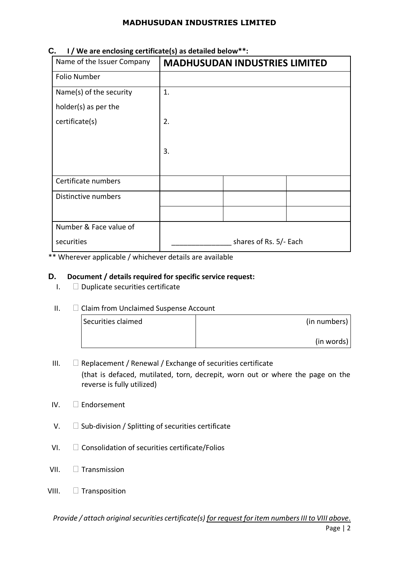### **MADHUSUDAN INDUSTRIES LIMITED**

| Name of the Issuer Company | <b>MADHUSUDAN INDUSTRIES LIMITED</b> |  |  |
|----------------------------|--------------------------------------|--|--|
| <b>Folio Number</b>        |                                      |  |  |
| Name(s) of the security    | 1.                                   |  |  |
| holder(s) as per the       |                                      |  |  |
| certificate(s)             | 2.                                   |  |  |
|                            |                                      |  |  |
|                            | 3.                                   |  |  |
|                            |                                      |  |  |
| Certificate numbers        |                                      |  |  |
| Distinctive numbers        |                                      |  |  |
|                            |                                      |  |  |
| Number & Face value of     |                                      |  |  |
| securities                 | shares of Rs. 5/- Each               |  |  |

### **C. I / We are enclosing certificate(s) as detailed below\*\*:**

\*\* Wherever applicable / whichever details are available

#### **D. Document / details required for specific service request:**

 $I.$   $\Box$  Duplicate securities certificate

#### II. Claim from Unclaimed Suspense Account

| Securities claimed | (in numbers) |
|--------------------|--------------|
|                    | (in words)   |

- III.  $\Box$  Replacement / Renewal / Exchange of securities certificate (that is defaced, mutilated, torn, decrepit, worn out or where the page on the reverse is fully utilized)
- IV. Endorsement
- $V.$   $\square$  Sub-division / Splitting of securities certificate
- $VI.$   $\Box$  Consolidation of securities certificate/Folios
- VII.  $\Box$  Transmission
- VIII. **Transposition**

*Provide / attach original securities certificate(s) for request for item numbers III to VIII above.*